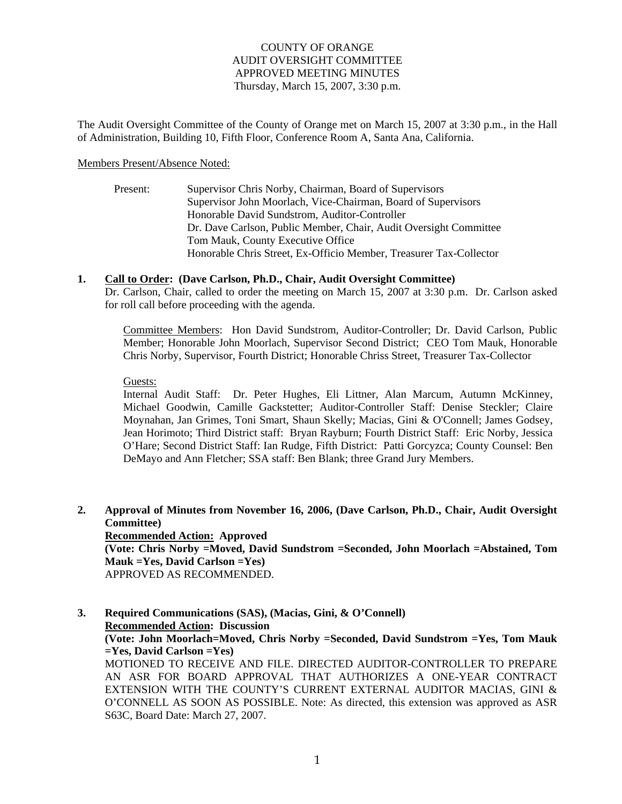#### COUNTY OF ORANGE AUDIT OVERSIGHT COMMITTEE APPROVED MEETING MINUTES Thursday, March 15, 2007, 3:30 p.m.

The Audit Oversight Committee of the County of Orange met on March 15, 2007 at 3:30 p.m., in the Hall of Administration, Building 10, Fifth Floor, Conference Room A, Santa Ana, California.

#### Members Present/Absence Noted:

Present: Supervisor Chris Norby, Chairman, Board of Supervisors Supervisor John Moorlach, Vice-Chairman, Board of Supervisors Honorable David Sundstrom, Auditor-Controller Dr. Dave Carlson, Public Member, Chair, Audit Oversight Committee Tom Mauk, County Executive Office Honorable Chris Street, Ex-Officio Member, Treasurer Tax-Collector

#### **1. Call to Order: (Dave Carlson, Ph.D., Chair, Audit Oversight Committee)**

Dr. Carlson, Chair, called to order the meeting on March 15, 2007 at 3:30 p.m. Dr. Carlson asked for roll call before proceeding with the agenda.

Committee Members: Hon David Sundstrom, Auditor-Controller; Dr. David Carlson, Public Member; Honorable John Moorlach, Supervisor Second District; CEO Tom Mauk, Honorable Chris Norby, Supervisor, Fourth District; Honorable Chriss Street, Treasurer Tax-Collector

Guests:

Internal Audit Staff: Dr. Peter Hughes, Eli Littner, Alan Marcum, Autumn McKinney, Michael Goodwin, Camille Gackstetter; Auditor-Controller Staff: Denise Steckler; Claire Moynahan, Jan Grimes, Toni Smart, Shaun Skelly; Macias, Gini & O'Connell; James Godsey, Jean Horimoto; Third District staff: Bryan Rayburn; Fourth District Staff: Eric Norby, Jessica O'Hare; Second District Staff: Ian Rudge, Fifth District: Patti Gorcyzca; County Counsel: Ben DeMayo and Ann Fletcher; SSA staff: Ben Blank; three Grand Jury Members.

**2. Approval of Minutes from November 16, 2006, (Dave Carlson, Ph.D., Chair, Audit Oversight Committee) Recommended Action: Approved (Vote: Chris Norby =Moved, David Sundstrom =Seconded, John Moorlach =Abstained, Tom Mauk =Yes, David Carlson =Yes)**  APPROVED AS RECOMMENDED.

**3. Required Communications (SAS), (Macias, Gini, & O'Connell) Recommended Action: Discussion (Vote: John Moorlach=Moved, Chris Norby =Seconded, David Sundstrom =Yes, Tom Mauk =Yes, David Carlson =Yes)**  MOTIONED TO RECEIVE AND FILE. DIRECTED AUDITOR-CONTROLLER TO PREPARE AN ASR FOR BOARD APPROVAL THAT AUTHORIZES A ONE-YEAR CONTRACT EXTENSION WITH THE COUNTY'S CURRENT EXTERNAL AUDITOR MACIAS, GINI & O'CONNELL AS SOON AS POSSIBLE. Note: As directed, this extension was approved as ASR S63C, Board Date: March 27, 2007.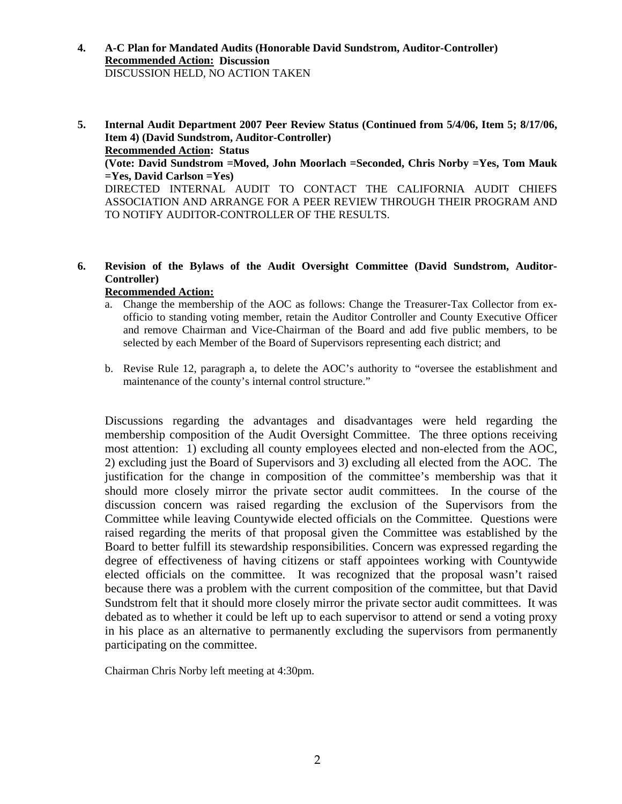- **4. A-C Plan for Mandated Audits (Honorable David Sundstrom, Auditor-Controller) Recommended Action: Discussion**  DISCUSSION HELD, NO ACTION TAKEN
- **5. Internal Audit Department 2007 Peer Review Status (Continued from 5/4/06, Item 5; 8/17/06, Item 4) (David Sundstrom, Auditor-Controller) Recommended Action: Status (Vote: David Sundstrom =Moved, John Moorlach =Seconded, Chris Norby =Yes, Tom Mauk =Yes, David Carlson =Yes)**  DIRECTED INTERNAL AUDIT TO CONTACT THE CALIFORNIA AUDIT CHIEFS ASSOCIATION AND ARRANGE FOR A PEER REVIEW THROUGH THEIR PROGRAM AND TO NOTIFY AUDITOR-CONTROLLER OF THE RESULTS.
- **6. Revision of the Bylaws of the Audit Oversight Committee (David Sundstrom, Auditor-Controller)**

### **Recommended Action:**

- a. Change the membership of the AOC as follows: Change the Treasurer-Tax Collector from exofficio to standing voting member, retain the Auditor Controller and County Executive Officer and remove Chairman and Vice-Chairman of the Board and add five public members, to be selected by each Member of the Board of Supervisors representing each district; and
- b. Revise Rule 12, paragraph a, to delete the AOC's authority to "oversee the establishment and maintenance of the county's internal control structure."

Discussions regarding the advantages and disadvantages were held regarding the membership composition of the Audit Oversight Committee. The three options receiving most attention: 1) excluding all county employees elected and non-elected from the AOC, 2) excluding just the Board of Supervisors and 3) excluding all elected from the AOC. The justification for the change in composition of the committee's membership was that it should more closely mirror the private sector audit committees. In the course of the discussion concern was raised regarding the exclusion of the Supervisors from the Committee while leaving Countywide elected officials on the Committee. Questions were raised regarding the merits of that proposal given the Committee was established by the Board to better fulfill its stewardship responsibilities. Concern was expressed regarding the degree of effectiveness of having citizens or staff appointees working with Countywide elected officials on the committee. It was recognized that the proposal wasn't raised because there was a problem with the current composition of the committee, but that David Sundstrom felt that it should more closely mirror the private sector audit committees. It was debated as to whether it could be left up to each supervisor to attend or send a voting proxy in his place as an alternative to permanently excluding the supervisors from permanently participating on the committee.

Chairman Chris Norby left meeting at 4:30pm.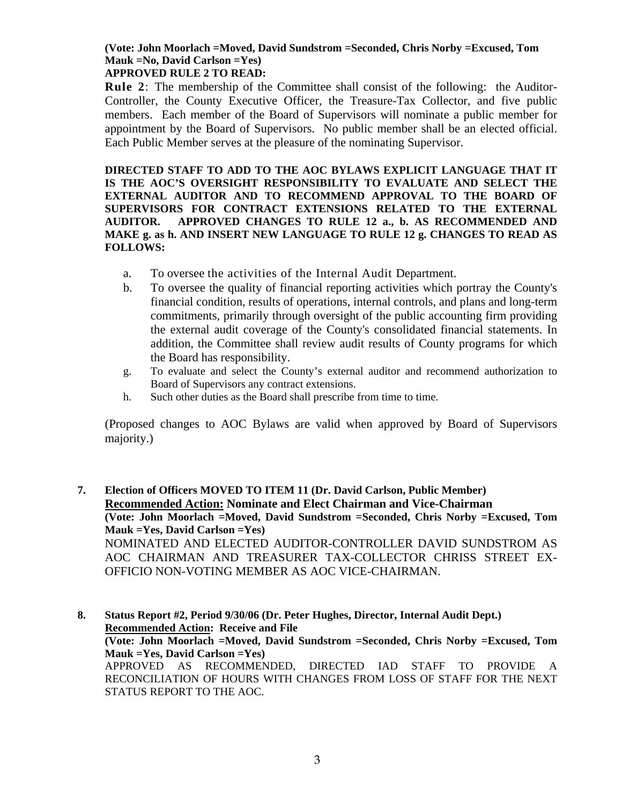# **(Vote: John Moorlach =Moved, David Sundstrom =Seconded, Chris Norby =Excused, Tom Mauk =No, David Carlson =Yes)**

## **APPROVED RULE 2 TO READ:**

**Rule 2**: The membership of the Committee shall consist of the following: the Auditor-Controller, the County Executive Officer, the Treasure-Tax Collector, and five public members. Each member of the Board of Supervisors will nominate a public member for appointment by the Board of Supervisors. No public member shall be an elected official. Each Public Member serves at the pleasure of the nominating Supervisor.

**DIRECTED STAFF TO ADD TO THE AOC BYLAWS EXPLICIT LANGUAGE THAT IT IS THE AOC'S OVERSIGHT RESPONSIBILITY TO EVALUATE AND SELECT THE EXTERNAL AUDITOR AND TO RECOMMEND APPROVAL TO THE BOARD OF SUPERVISORS FOR CONTRACT EXTENSIONS RELATED TO THE EXTERNAL AUDITOR. APPROVED CHANGES TO RULE 12 a., b. AS RECOMMENDED AND MAKE g. as h. AND INSERT NEW LANGUAGE TO RULE 12 g. CHANGES TO READ AS FOLLOWS:** 

- a. To oversee the activities of the Internal Audit Department.
- b. To oversee the quality of financial reporting activities which portray the County's financial condition, results of operations, internal controls, and plans and long-term commitments, primarily through oversight of the public accounting firm providing the external audit coverage of the County's consolidated financial statements. In addition, the Committee shall review audit results of County programs for which the Board has responsibility.
- g. To evaluate and select the County's external auditor and recommend authorization to Board of Supervisors any contract extensions.
- h. Such other duties as the Board shall prescribe from time to time.

(Proposed changes to AOC Bylaws are valid when approved by Board of Supervisors majority.)

**7. Election of Officers MOVED TO ITEM 11 (Dr. David Carlson, Public Member) Recommended Action: Nominate and Elect Chairman and Vice-Chairman (Vote: John Moorlach =Moved, David Sundstrom =Seconded, Chris Norby =Excused, Tom Mauk =Yes, David Carlson =Yes)**  NOMINATED AND ELECTED AUDITOR-CONTROLLER DAVID SUNDSTROM AS AOC CHAIRMAN AND TREASURER TAX-COLLECTOR CHRISS STREET EX-OFFICIO NON-VOTING MEMBER AS AOC VICE-CHAIRMAN.

**8. Status Report #2, Period 9/30/06 (Dr. Peter Hughes, Director, Internal Audit Dept.) Recommended Action: Receive and File (Vote: John Moorlach =Moved, David Sundstrom =Seconded, Chris Norby =Excused, Tom Mauk =Yes, David Carlson =Yes)**  APPROVED AS RECOMMENDED, DIRECTED IAD STAFF TO PROVIDE A RECONCILIATION OF HOURS WITH CHANGES FROM LOSS OF STAFF FOR THE NEXT STATUS REPORT TO THE AOC.